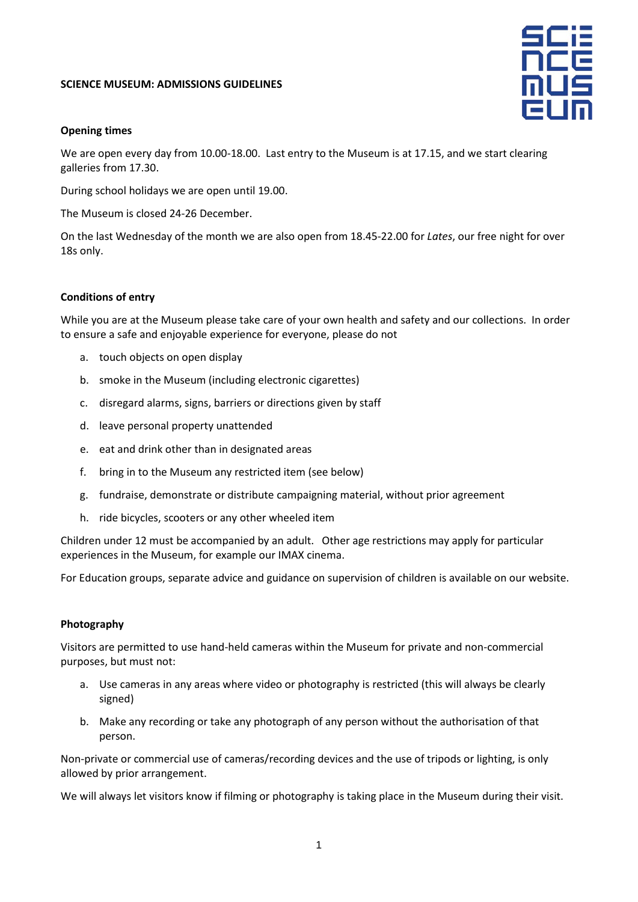# **SCIENCE MUSEUM: ADMISSIONS GUIDELINES**



# **Opening times**

We are open every day from 10.00-18.00. Last entry to the Museum is at 17.15, and we start clearing galleries from 17.30.

During school holidays we are open until 19.00.

The Museum is closed 24-26 December.

On the last Wednesday of the month we are also open from 18.45-22.00 for *Lates*, our free night for over 18s only.

# **Conditions of entry**

While you are at the Museum please take care of your own health and safety and our collections. In order to ensure a safe and enjoyable experience for everyone, please do not

- a. touch objects on open display
- b. smoke in the Museum (including electronic cigarettes)
- c. disregard alarms, signs, barriers or directions given by staff
- d. leave personal property unattended
- e. eat and drink other than in designated areas
- f. bring in to the Museum any restricted item (see below)
- g. fundraise, demonstrate or distribute campaigning material, without prior agreement
- h. ride bicycles, scooters or any other wheeled item

Children under 12 must be accompanied by an adult. Other age restrictions may apply for particular experiences in the Museum, for example our IMAX cinema.

For Education groups, separate advice and guidance on supervision of children is available on our website.

### **Photography**

Visitors are permitted to use hand-held cameras within the Museum for private and non-commercial purposes, but must not:

- a. Use cameras in any areas where video or photography is restricted (this will always be clearly signed)
- b. Make any recording or take any photograph of any person without the authorisation of that person.

Non-private or commercial use of cameras/recording devices and the use of tripods or lighting, is only allowed by prior arrangement.

We will always let visitors know if filming or photography is taking place in the Museum during their visit.